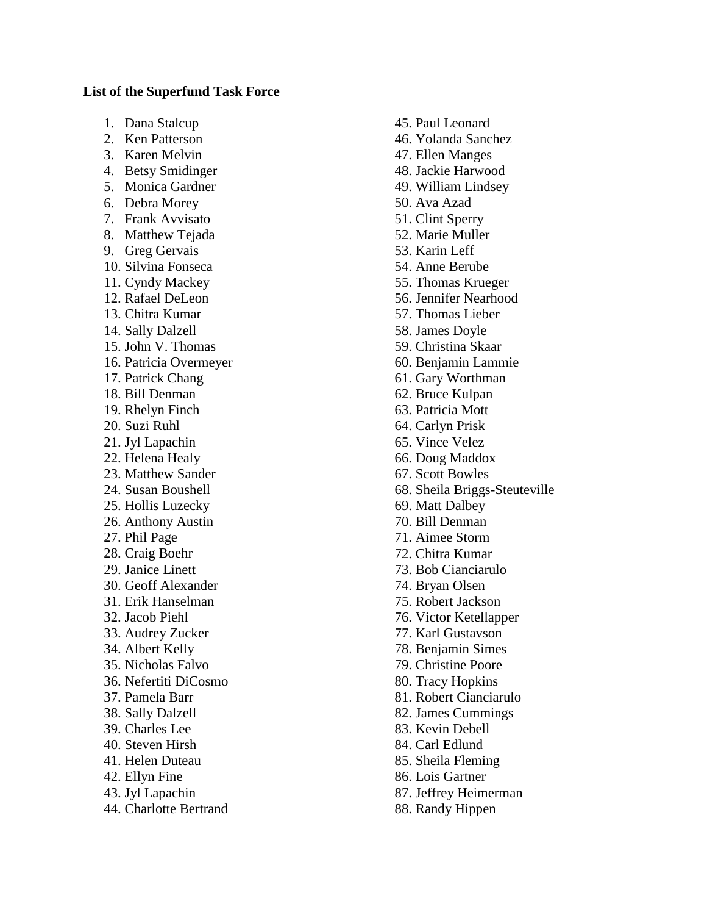## **List of the Superfund Task Force**

- 1. Dana Stalcup
- 2. Ken Patterson
- 3. Karen Melvin
- 4. Betsy Smidinger
- 5. Monica Gardner
- 6. Debra Morey
- 7. Frank Avvisato
- 8. Matthew Tejada
- 9. Greg Gervais
- 10. Silvina Fonseca
- 11. Cyndy Mackey
- 12. Rafael DeLeon
- 13. Chitra Kumar
- 14. Sally Dalzell
- 15. John V. Thomas
- 16. Patricia Overmeyer
- 17. Patrick Chang
- 18. Bill Denman
- 19. Rhelyn Finch
- 20. Suzi Ruhl
- 21. Jyl Lapachin
- 22. Helena Healy
- 23. Matthew Sander
- 24. Susan Boushell
- 25. Hollis Luzecky
- 26. Anthony Austin
- 27. Phil Page
- 28. Craig Boehr
- 29. Janice Linett
- 30. Geoff Alexander
- 31. Erik Hanselman
- 32. Jacob Piehl
- 33. Audrey Zucker
- 34. Albert Kelly
- 35. Nicholas Falvo
- 36. Nefertiti DiCosmo
- 37. Pamela Barr
- 38. Sally Dalzell
- 39. Charles Lee
- 40. Steven Hirsh
- 41. Helen Duteau
- 42. Ellyn Fine
- 43. Jyl Lapachin
- 44. Charlotte Bertrand
- 45. Paul Leonard
- 46. Yolanda Sanchez
- 47. Ellen Manges
- 48. Jackie Harwood
- 49. William Lindsey
- 50. Ava Azad
- 51. Clint Sperry
- 52. Marie Muller
- 53. Karin Leff
- 54. Anne Berube
- 55. Thomas Krueger
- 56. Jennifer Nearhood
- 57. Thomas Lieber
- 58. James Doyle
- 59. Christina Skaar
- 60. Benjamin Lammie
- 61. Gary Worthman
- 62. Bruce Kulpan
- 63. Patricia Mott
- 64. Carlyn Prisk
- 65. Vince Velez
- 66. Doug Maddox
- 67. Scott Bowles
- 68. Sheila Briggs-Steuteville
- 69. Matt Dalbey
- 70. Bill Denman
- 71. Aimee Storm
- 72. Chitra Kumar
- 73. Bob Cianciarulo
- 74. Bryan Olsen
- 75. Robert Jackson
- 76. Victor Ketellapper
- 77. Karl Gustavson
- 78. Benjamin Simes
- 79. Christine Poore
- 80. Tracy Hopkins
- 81. Robert Cianciarulo
- 82. James Cummings
- 83. Kevin Debell
- 84. Carl Edlund
- 85. Sheila Fleming
- 86. Lois Gartner
- 87. Jeffrey Heimerman
- 88. Randy Hippen